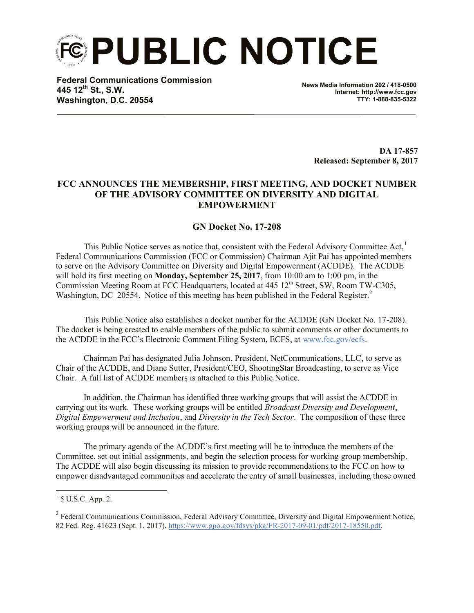**PUBLIC NOTICE**

**Federal Communications Commission 445 12th St., S.W. Washington, D.C. 20554**

**News Media Information 202 / 418-0500 Internet: http://www.fcc.gov TTY: 1-888-835-5322**

> **DA 17-857 Released: September 8, 2017**

## **FCC ANNOUNCES THE MEMBERSHIP, FIRST MEETING, AND DOCKET NUMBER OF THE ADVISORY COMMITTEE ON DIVERSITY AND DIGITAL EMPOWERMENT**

## **GN Docket No. 17-208**

This Public Notice serves as notice that, consistent with the Federal Advisory Committee Act, $<sup>1</sup>$ </sup> Federal Communications Commission (FCC or Commission) Chairman Ajit Pai has appointed members to serve on the Advisory Committee on Diversity and Digital Empowerment (ACDDE). The ACDDE will hold its first meeting on **Monday, September 25, 2017**, from 10:00 am to 1:00 pm, in the Commission Meeting Room at FCC Headquarters, located at 445 12<sup>th</sup> Street, SW, Room TW-C305, Washington, DC 20554. Notice of this meeting has been published in the Federal Register.<sup>2</sup>

This Public Notice also establishes a docket number for the ACDDE (GN Docket No. 17-208). The docket is being created to enable members of the public to submit comments or other documents to the ACDDE in the FCC's Electronic Comment Filing System, ECFS, at www.fcc.gov/ecfs.

Chairman Pai has designated Julia Johnson, President, NetCommunications, LLC, to serve as Chair of the ACDDE, and Diane Sutter, President/CEO, ShootingStar Broadcasting, to serve as Vice Chair. A full list of ACDDE members is attached to this Public Notice.

In addition, the Chairman has identified three working groups that will assist the ACDDE in carrying out its work. These working groups will be entitled *Broadcast Diversity and Development*, *Digital Empowerment and Inclusion*, and *Diversity in the Tech Sector*. The composition of these three working groups will be announced in the future.

The primary agenda of the ACDDE's first meeting will be to introduce the members of the Committee, set out initial assignments, and begin the selection process for working group membership. The ACDDE will also begin discussing its mission to provide recommendations to the FCC on how to empower disadvantaged communities and accelerate the entry of small businesses, including those owned

 $\frac{1}{1}$  5 U.S.C. App. 2.

<sup>&</sup>lt;sup>2</sup> Federal Communications Commission, Federal Advisory Committee, Diversity and Digital Empowerment Notice, 82 Fed. Reg. 41623 (Sept. 1, 2017), https://www.gpo.gov/fdsys/pkg/FR-2017-09-01/pdf/2017-18550.pdf.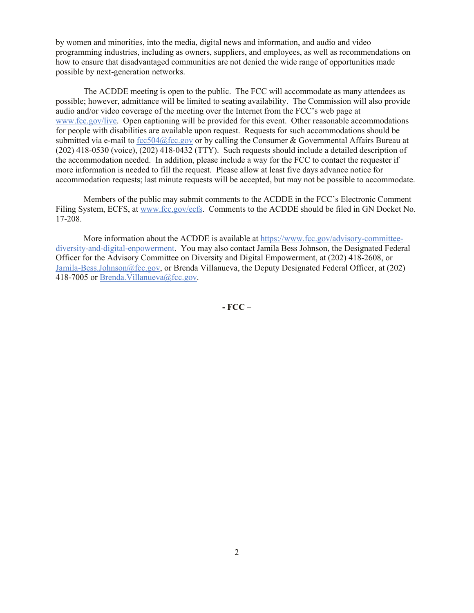by women and minorities, into the media, digital news and information, and audio and video programming industries, including as owners, suppliers, and employees, as well as recommendations on how to ensure that disadvantaged communities are not denied the wide range of opportunities made possible by next-generation networks.

The ACDDE meeting is open to the public. The FCC will accommodate as many attendees as possible; however, admittance will be limited to seating availability. The Commission will also provide audio and/or video coverage of the meeting over the Internet from the FCC's web page at www.fcc.gov/live. Open captioning will be provided for this event. Other reasonable accommodations for people with disabilities are available upon request. Requests for such accommodations should be submitted via e-mail to fcc504@fcc.gov or by calling the Consumer & Governmental Affairs Bureau at (202) 418-0530 (voice), (202) 418-0432 (TTY). Such requests should include a detailed description of the accommodation needed. In addition, please include a way for the FCC to contact the requester if more information is needed to fill the request. Please allow at least five days advance notice for accommodation requests; last minute requests will be accepted, but may not be possible to accommodate.

Members of the public may submit comments to the ACDDE in the FCC's Electronic Comment Filing System, ECFS, at www.fcc.gov/ecfs. Comments to the ACDDE should be filed in GN Docket No. 17-208.

More information about the ACDDE is available at https://www.fcc.gov/advisory-committeediversity-and-digital-enpowerment. You may also contact Jamila Bess Johnson, the Designated Federal Officer for the Advisory Committee on Diversity and Digital Empowerment, at (202) 418-2608, or Jamila-Bess.Johnson@fcc.gov, or Brenda Villanueva, the Deputy Designated Federal Officer, at (202) 418-7005 or Brenda. Villanueva@fcc.gov.

**- FCC –**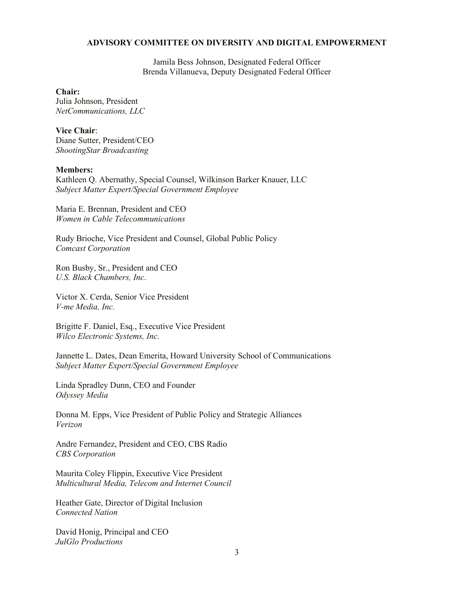## **ADVISORY COMMITTEE ON DIVERSITY AND DIGITAL EMPOWERMENT**

Jamila Bess Johnson, Designated Federal Officer Brenda Villanueva, Deputy Designated Federal Officer

**Chair:**

Julia Johnson, President *NetCommunications, LLC*

**Vice Chair**: Diane Sutter, President/CEO *ShootingStar Broadcasting*

## **Members:**

Kathleen Q. Abernathy, Special Counsel, Wilkinson Barker Knauer, LLC *Subject Matter Expert/Special Government Employee*

Maria E. Brennan, President and CEO *Women in Cable Telecommunications*

Rudy Brioche, Vice President and Counsel, Global Public Policy *Comcast Corporation*

Ron Busby, Sr., President and CEO *U.S. Black Chambers, Inc*.

Victor X. Cerda, Senior Vice President *V-me Media, Inc.*

Brigitte F. Daniel, Esq., Executive Vice President *Wilco Electronic Systems, Inc.*

Jannette L. Dates, Dean Emerita, Howard University School of Communications *Subject Matter Expert/Special Government Employee*

Linda Spradley Dunn, CEO and Founder *Odyssey Media*

Donna M. Epps, Vice President of Public Policy and Strategic Alliances *Verizon*

Andre Fernandez, President and CEO, CBS Radio *CBS Corporation*

Maurita Coley Flippin, Executive Vice President *Multicultural Media, Telecom and Internet Council*

Heather Gate, Director of Digital Inclusion *Connected Nation*

David Honig, Principal and CEO *JulGlo Productions*